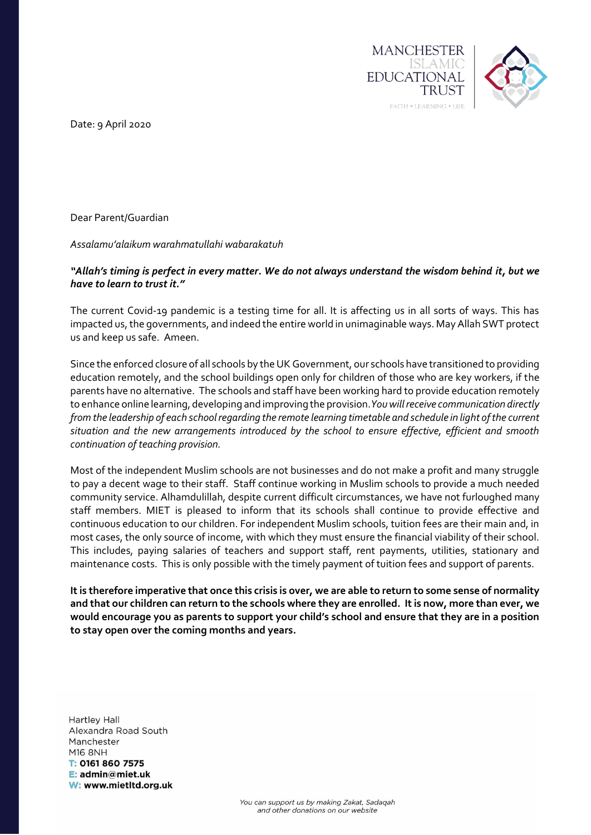

Date: 9 April 2020

Dear Parent/Guardian

*Assalamu'alaikum warahmatullahi wabarakatuh*

## "Allah's timing is perfect in every matter. We do not always understand the wisdom behind it, but we *have to learn to trust it."*

The current Covid-19 pandemic is a testing time for all. It is affecting us in all sorts of ways. This has impacted us, the governments, and indeed the entire world in unimaginable ways. May Allah SWT protect us and keep us safe. Ameen.

Since the enforced closure of all schools by the UK Government, our schools have transitioned to providing education remotely, and the school buildings open only for children of those who are key workers, if the parents have no alternative. The schools and staff have been working hard to provide education remotely to enhance online learning, developing and improving the provision.*You will receive communication directly from the leadership of each school regarding the remote learning timetable and schedule in light of the current situation and the new arrangements introduced by the school to ensure effective, efficient and smooth continuation of teaching provision.* 

Most of the independent Muslim schools are not businesses and do not make a profit and many struggle to pay a decent wage to their staff. Staff continue working in Muslim schools to provide a much needed community service. Alhamdulillah, despite current difficult circumstances, we have not furloughed many staff members. MIET is pleased to inform that its schools shall continue to provide effective and continuous education to our children. For independent Muslim schools, tuition fees are their main and, in most cases, the only source of income, with which they must ensure the financial viability of their school. This includes, paying salaries of teachers and support staff, rent payments, utilities, stationary and maintenance costs. This is only possible with the timely payment of tuition fees and support of parents.

**It is therefore imperative that once this crisis is over, we are able to return to some sense of normality and that our children can return to the schools where they are enrolled. It is now, more than ever, we would encourage you as parents to support your child's school and ensure that they are in a position to stay open over the coming months and years.**

**Hartley Hall** Alexandra Road South Manchester **M16 8NH** T: 0161 860 7575 E: admin@miet.uk W: www.mietItd.org.uk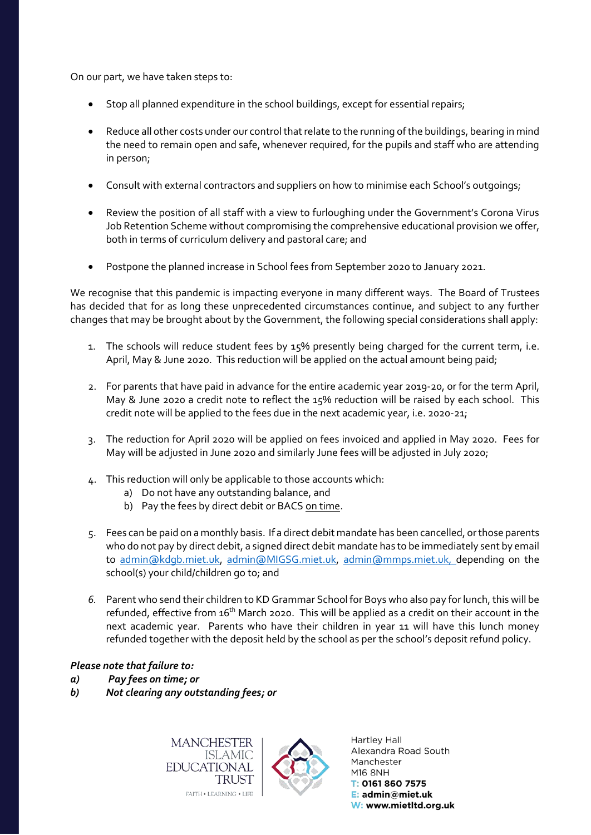On our part, we have taken steps to:

- Stop all planned expenditure in the school buildings, except for essential repairs;
- Reduce all other costs under our control that relate to the running of the buildings, bearing in mind the need to remain open and safe, whenever required, for the pupils and staff who are attending in person;
- Consult with external contractors and suppliers on how to minimise each School's outgoings;
- Review the position of all staff with a view to furloughing under the Government's Corona Virus Job Retention Scheme without compromising the comprehensive educational provision we offer, both in terms of curriculum delivery and pastoral care; and
- Postpone the planned increase in School fees from September 2020 to January 2021.

We recognise that this pandemic is impacting everyone in many different ways. The Board of Trustees has decided that for as long these unprecedented circumstances continue, and subject to any further changes that may be brought about by the Government, the following special considerations shall apply:

- 1. The schools will reduce student fees by 15% presently being charged for the current term, i.e. April, May & June 2020. This reduction will be applied on the actual amount being paid;
- 2. For parents that have paid in advance for the entire academic year 2019-20, or for the term April, May & June 2020 a credit note to reflect the 15% reduction will be raised by each school. This credit note will be applied to the fees due in the next academic year, i.e. 2020-21;
- 3. The reduction for April 2020 will be applied on fees invoiced and applied in May 2020. Fees for May will be adjusted in June 2020 and similarly June fees will be adjusted in July 2020;
- 4. This reduction will only be applicable to those accounts which:
	- a) Do not have any outstanding balance, and
	- b) Pay the fees by direct debit or BACS on time.
- 5. Fees can be paid on a monthly basis. If a direct debit mandate has been cancelled, or those parents who do not pay by direct debit, a signed direct debit mandate has to be immediately sent by email to [admin@kdgb.miet.uk,](mailto:admin@kdgb.miet.uk) [admin@MIGSG.miet.uk,](mailto:admin@MIGSG.miet.uk) [admin@mmps.miet.uk,](mailto:admin@mmps.miet.uk) depending on the school(s) your child/children go to; and
- *6.* Parent who send their children to KD Grammar School for Boys who also pay for lunch, this will be refunded, effective from 16<sup>th</sup> March 2020. This will be applied as a credit on their account in the next academic year. Parents who have their children in year 11 will have this lunch money refunded together with the deposit held by the school as per the school's deposit refund policy.

## *Please note that failure to:*

- *a) Pay fees on time; or*
- *b) Not clearing any outstanding fees; or*

**MANCHESTER ISLAMIC EDUCATIONAL TRUST** FAITH . LEARNING . LIFE



Hartley Hall Alexandra Road South Manchester M16 8NH T: 0161 860 7575 E: admin@miet.uk W: www.mietltd.org.uk